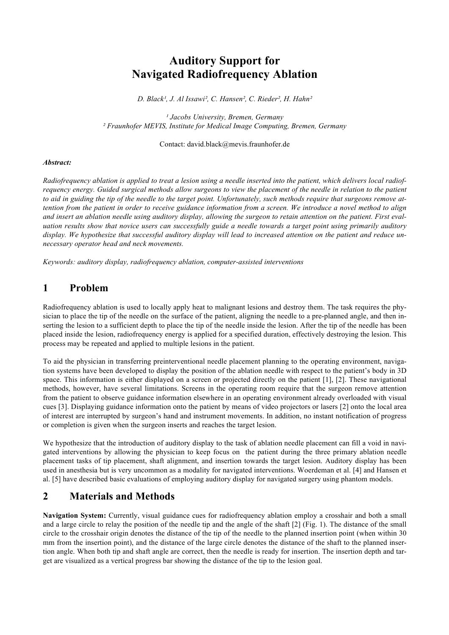# **Auditory Support for Navigated Radiofrequency Ablation**

*D. Black¹, J. Al Issawi², C. Hansen², C. Rieder², H. Hahn²*

*¹ Jacobs University, Bremen, Germany ² Fraunhofer MEVIS, Institute for Medical Image Computing, Bremen, Germany*

#### Contact: david.black@mevis.fraunhofer.de

#### *Abstract:*

*Radiofrequency ablation is applied to treat a lesion using a needle inserted into the patient, which delivers local radiofrequency energy. Guided surgical methods allow surgeons to view the placement of the needle in relation to the patient to aid in guiding the tip of the needle to the target point. Unfortunately, such methods require that surgeons remove attention from the patient in order to receive guidance information from a screen. We introduce a novel method to align and insert an ablation needle using auditory display, allowing the surgeon to retain attention on the patient. First evaluation results show that novice users can successfully guide a needle towards a target point using primarily auditory display. We hypothesize that successful auditory display will lead to increased attention on the patient and reduce unnecessary operator head and neck movements.*

*Keywords: auditory display, radiofrequency ablation, computer-assisted interventions*

#### **1 Problem**

Radiofrequency ablation is used to locally apply heat to malignant lesions and destroy them. The task requires the physician to place the tip of the needle on the surface of the patient, aligning the needle to a pre-planned angle, and then inserting the lesion to a sufficient depth to place the tip of the needle inside the lesion. After the tip of the needle has been placed inside the lesion, radiofrequency energy is applied for a specified duration, effectively destroying the lesion. This process may be repeated and applied to multiple lesions in the patient.

To aid the physician in transferring preinterventional needle placement planning to the operating environment, navigation systems have been developed to display the position of the ablation needle with respect to the patient's body in 3D space. This information is either displayed on a screen or projected directly on the patient [1], [2]. These navigational methods, however, have several limitations. Screens in the operating room require that the surgeon remove attention from the patient to observe guidance information elsewhere in an operating environment already overloaded with visual cues [3]. Displaying guidance information onto the patient by means of video projectors or lasers [2] onto the local area of interest are interrupted by surgeon's hand and instrument movements. In addition, no instant notification of progress or completion is given when the surgeon inserts and reaches the target lesion.

We hypothesize that the introduction of auditory display to the task of ablation needle placement can fill a void in navigated interventions by allowing the physician to keep focus on the patient during the three primary ablation needle placement tasks of tip placement, shaft alignment, and insertion towards the target lesion. Auditory display has been used in anesthesia but is very uncommon as a modality for navigated interventions. Woerdeman et al. [4] and Hansen et al. [5] have described basic evaluations of employing auditory display for navigated surgery using phantom models.

# **2 Materials and Methods**

**Navigation System:** Currently, visual guidance cues for radiofrequency ablation employ a crosshair and both a small and a large circle to relay the position of the needle tip and the angle of the shaft [2] (Fig. 1). The distance of the small circle to the crosshair origin denotes the distance of the tip of the needle to the planned insertion point (when within 30 mm from the insertion point), and the distance of the large circle denotes the distance of the shaft to the planned insertion angle. When both tip and shaft angle are correct, then the needle is ready for insertion. The insertion depth and target are visualized as a vertical progress bar showing the distance of the tip to the lesion goal.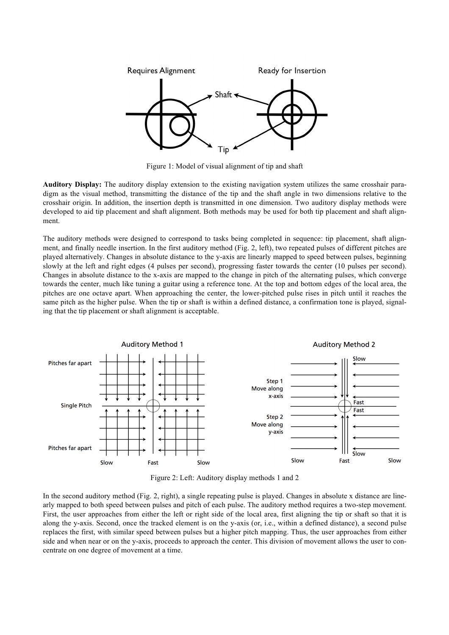

Figure 1: Model of visual alignment of tip and shaft

**Auditory Display:** The auditory display extension to the existing navigation system utilizes the same crosshair paradigm as the visual method, transmitting the distance of the tip and the shaft angle in two dimensions relative to the crosshair origin. In addition, the insertion depth is transmitted in one dimension. Two auditory display methods were developed to aid tip placement and shaft alignment. Both methods may be used for both tip placement and shaft alignment.

The auditory methods were designed to correspond to tasks being completed in sequence: tip placement, shaft alignment, and finally needle insertion. In the first auditory method (Fig. 2, left), two repeated pulses of different pitches are played alternatively. Changes in absolute distance to the y-axis are linearly mapped to speed between pulses, beginning slowly at the left and right edges (4 pulses per second), progressing faster towards the center (10 pulses per second). Changes in absolute distance to the x-axis are mapped to the change in pitch of the alternating pulses, which converge towards the center, much like tuning a guitar using a reference tone. At the top and bottom edges of the local area, the pitches are one octave apart. When approaching the center, the lower-pitched pulse rises in pitch until it reaches the same pitch as the higher pulse. When the tip or shaft is within a defined distance, a confirmation tone is played, signaling that the tip placement or shaft alignment is acceptable.



Figure 2: Left: Auditory display methods 1 and 2

In the second auditory method (Fig. 2, right), a single repeating pulse is played. Changes in absolute x distance are linearly mapped to both speed between pulses and pitch of each pulse. The auditory method requires a two-step movement. First, the user approaches from either the left or right side of the local area, first aligning the tip or shaft so that it is along the y-axis. Second, once the tracked element is on the y-axis (or, i.e., within a defined distance), a second pulse replaces the first, with similar speed between pulses but a higher pitch mapping. Thus, the user approaches from either side and when near or on the y-axis, proceeds to approach the center. This division of movement allows the user to concentrate on one degree of movement at a time.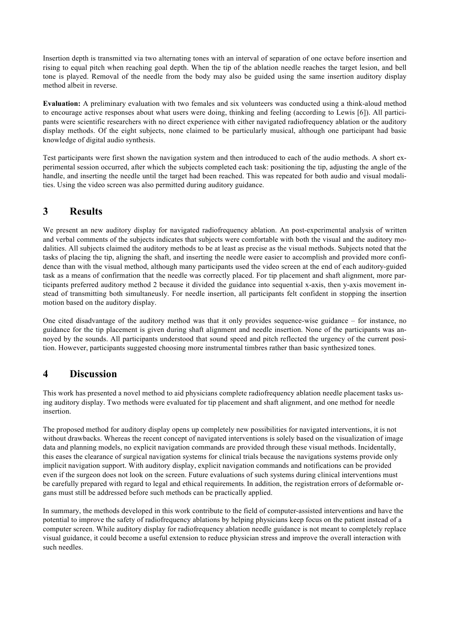Insertion depth is transmitted via two alternating tones with an interval of separation of one octave before insertion and rising to equal pitch when reaching goal depth. When the tip of the ablation needle reaches the target lesion, and bell tone is played. Removal of the needle from the body may also be guided using the same insertion auditory display method albeit in reverse.

**Evaluation:** A preliminary evaluation with two females and six volunteers was conducted using a think-aloud method to encourage active responses about what users were doing, thinking and feeling (according to Lewis [6]). All participants were scientific researchers with no direct experience with either navigated radiofrequency ablation or the auditory display methods. Of the eight subjects, none claimed to be particularly musical, although one participant had basic knowledge of digital audio synthesis.

Test participants were first shown the navigation system and then introduced to each of the audio methods. A short experimental session occurred, after which the subjects completed each task: positioning the tip, adjusting the angle of the handle, and inserting the needle until the target had been reached. This was repeated for both audio and visual modalities. Using the video screen was also permitted during auditory guidance.

## **3 Results**

We present an new auditory display for navigated radiofrequency ablation. An post-experimental analysis of written and verbal comments of the subjects indicates that subjects were comfortable with both the visual and the auditory modalities. All subjects claimed the auditory methods to be at least as precise as the visual methods. Subjects noted that the tasks of placing the tip, aligning the shaft, and inserting the needle were easier to accomplish and provided more confidence than with the visual method, although many participants used the video screen at the end of each auditory-guided task as a means of confirmation that the needle was correctly placed. For tip placement and shaft alignment, more participants preferred auditory method 2 because it divided the guidance into sequential x-axis, then y-axis movement instead of transmitting both simultaneusly. For needle insertion, all participants felt confident in stopping the insertion motion based on the auditory display.

One cited disadvantage of the auditory method was that it only provides sequence-wise guidance – for instance, no guidance for the tip placement is given during shaft alignment and needle insertion. None of the participants was annoyed by the sounds. All participants understood that sound speed and pitch reflected the urgency of the current position. However, participants suggested choosing more instrumental timbres rather than basic synthesized tones.

### **4 Discussion**

This work has presented a novel method to aid physicians complete radiofrequency ablation needle placement tasks using auditory display. Two methods were evaluated for tip placement and shaft alignment, and one method for needle insertion.

The proposed method for auditory display opens up completely new possibilities for navigated interventions, it is not without drawbacks. Whereas the recent concept of navigated interventions is solely based on the visualization of image data and planning models, no explicit navigation commands are provided through these visual methods. Incidentally, this eases the clearance of surgical navigation systems for clinical trials because the navigations systems provide only implicit navigation support. With auditory display, explicit navigation commands and notifications can be provided even if the surgeon does not look on the screen. Future evaluations of such systems during clinical interventions must be carefully prepared with regard to legal and ethical requirements. In addition, the registration errors of deformable organs must still be addressed before such methods can be practically applied.

In summary, the methods developed in this work contribute to the field of computer-assisted interventions and have the potential to improve the safety of radiofrequency ablations by helping physicians keep focus on the patient instead of a computer screen. While auditory display for radiofrequency ablation needle guidance is not meant to completely replace visual guidance, it could become a useful extension to reduce physician stress and improve the overall interaction with such needles.